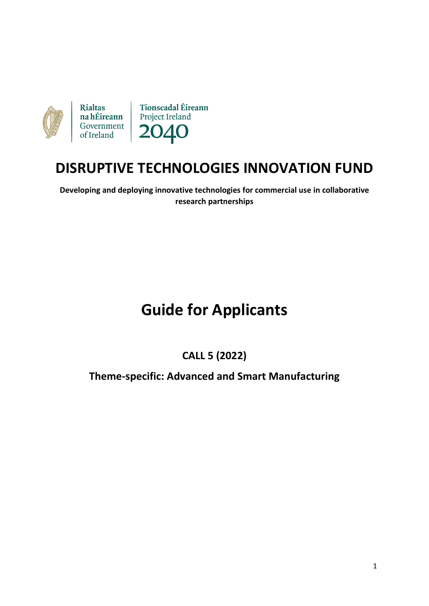

# **DISRUPTIVE TECHNOLOGIES INNOVATION FUND**

**Developing and deploying innovative technologies for commercial use in collaborative research partnerships**

# **Guide for Applicants**

# **CALL 5 (2022)**

## **Theme-specific: Advanced and Smart Manufacturing**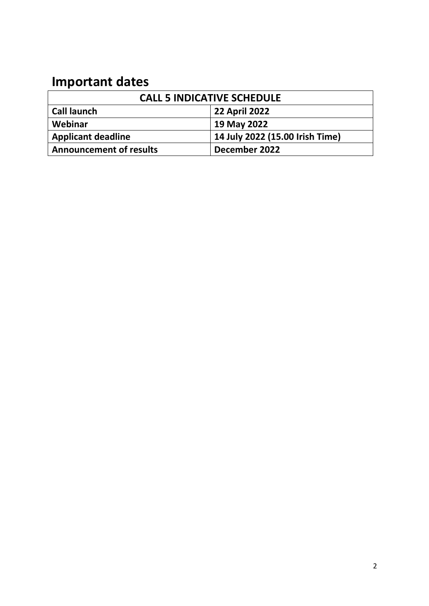# **Important dates**

| <b>CALL 5 INDICATIVE SCHEDULE</b> |                                 |  |
|-----------------------------------|---------------------------------|--|
| <b>Call launch</b>                | <b>22 April 2022</b>            |  |
| Webinar                           | 19 May 2022                     |  |
| <b>Applicant deadline</b>         | 14 July 2022 (15.00 Irish Time) |  |
| <b>Announcement of results</b>    | December 2022                   |  |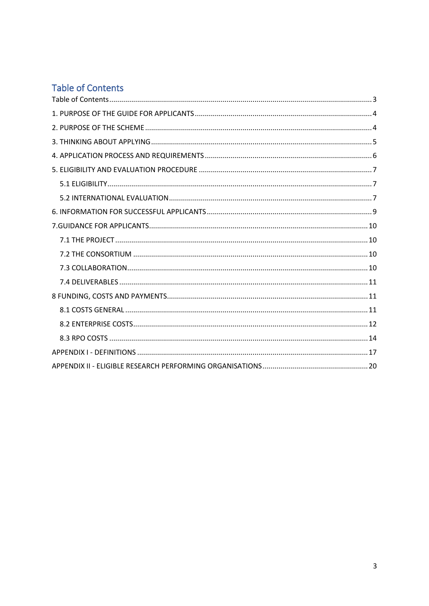# <span id="page-2-0"></span>Table of Contents

<span id="page-2-1"></span>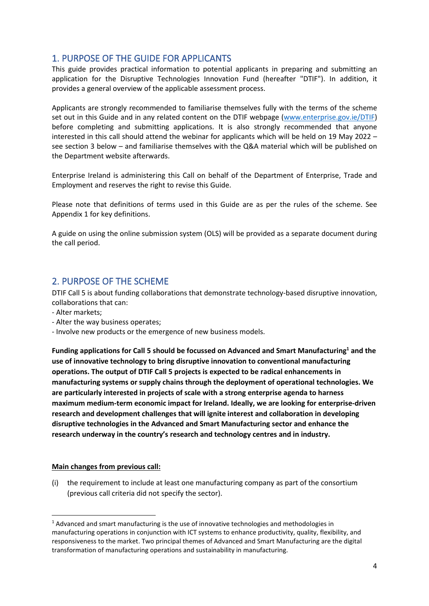## 1. PURPOSE OF THE GUIDE FOR APPLICANTS

This guide provides practical information to potential applicants in preparing and submitting an application for the Disruptive Technologies Innovation Fund (hereafter "DTIF"). In addition, it provides a general overview of the applicable assessment process.

Applicants are strongly recommended to familiarise themselves fully with the terms of the scheme set out in this Guide and in any related content on the DTIF webpage [\(www.enterprise.gov.ie/DTIF\)](http://www.enterprise.gov.ie/DTIF) before completing and submitting applications. It is also strongly recommended that anyone interested in this call should attend the webinar for applicants which will be held on 19 May 2022 – see section 3 below – and familiarise themselves with the Q&A material which will be published on the Department website afterwards.

Enterprise Ireland is administering this Call on behalf of the Department of Enterprise, Trade and Employment and reserves the right to revise this Guide.

Please note that definitions of terms used in this Guide are as per the rules of the scheme. See Appendix 1 for key definitions.

A guide on using the online submission system (OLS) will be provided as a separate document during the call period.

## <span id="page-3-0"></span>2. PURPOSE OF THE SCHEME

DTIF Call 5 is about funding collaborations that demonstrate technology-based disruptive innovation, collaborations that can:

- Alter markets;
- Alter the way business operates;
- Involve new products or the emergence of new business models.

**Funding applications for Call 5 should be focussed on Advanced and Smart Manufacturing<sup>1</sup> and the use of innovative technology to bring disruptive innovation to conventional manufacturing operations. The output of DTIF Call 5 projects is expected to be radical enhancements in manufacturing systems or supply chains through the deployment of operational technologies. We are particularly interested in projects of scale with a strong enterprise agenda to harness maximum medium-term economic impact for Ireland. Ideally, we are looking for enterprise-driven research and development challenges that will ignite interest and collaboration in developing disruptive technologies in the Advanced and Smart Manufacturing sector and enhance the research underway in the country's research and technology centres and in industry.** 

#### **Main changes from previous call:**

(i) the requirement to include at least one manufacturing company as part of the consortium (previous call criteria did not specify the sector).

 $<sup>1</sup>$  Advanced and smart manufacturing is the use of innovative technologies and methodologies in</sup> manufacturing operations in conjunction with ICT systems to enhance productivity, quality, flexibility, and responsiveness to the market. Two principal themes of Advanced and Smart Manufacturing are the digital transformation of manufacturing operations and sustainability in manufacturing.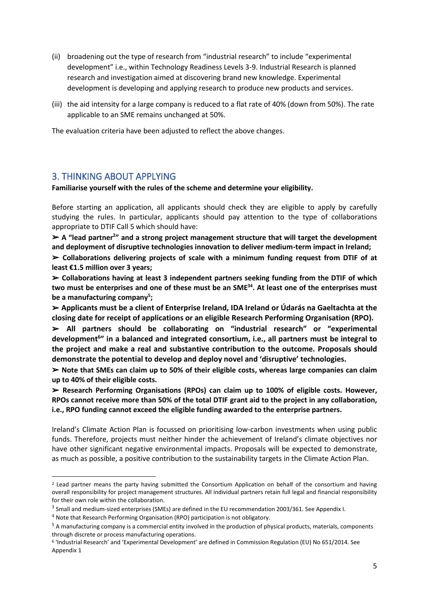- (ii) broadening out the type of research from "industrial research" to include "experimental development" i.e., within Technology Readiness Levels 3-9. Industrial Research is planned research and investigation aimed at discovering brand new knowledge. Experimental development is developing and applying research to produce new products and services.
- (iii) the aid intensity for a large company is reduced to a flat rate of 40% (down from 50%). The rate applicable to an SME remains unchanged at 50%.

The evaluation criteria have been adjusted to reflect the above changes.

#### <span id="page-4-0"></span>3. THINKING ABOUT APPLYING

**Familiarise yourself with the rules of the scheme and determine your eligibility.** 

Before starting an application, all applicants should check they are eligible to apply by carefully studying the rules. In particular, applicants should pay attention to the type of collaborations appropriate to DTIF Call 5 which should have:

➢ **A "lead partner<sup>2</sup> " and a strong project management structure that will target the development and deployment of disruptive technologies innovation to deliver medium-term impact in Ireland;**

➢ **Collaborations delivering projects of scale with a minimum funding request from DTIF of at least €1.5 million over 3 years;**

➢ **Collaborations having at least 3 independent partners seeking funding from the DTIF of which two must be enterprises and one of these must be an SME<sup>34</sup> . At least one of the enterprises must be a manufacturing company<sup>5</sup> ;**

➢ **Applicants must be a client of Enterprise Ireland, IDA Ireland or Údarás na Gaeltachta at the closing date for receipt of applications or an eligible Research Performing Organisation (RPO).**

➢ **All partners should be collaborating on "industrial research" or "experimental development<sup>6</sup> " in a balanced and integrated consortium, i.e., all partners must be integral to the project and make a real and substantive contribution to the outcome. Proposals should demonstrate the potential to develop and deploy novel and 'disruptive' technologies.**

➢ **Note that SMEs can claim up to 50% of their eligible costs, whereas large companies can claim up to 40% of their eligible costs.**

➢ **Research Performing Organisations (RPOs) can claim up to 100% of eligible costs. However, RPOs cannot receive more than 50% of the total DTIF grant aid to the project in any collaboration, i.e., RPO funding cannot exceed the eligible funding awarded to the enterprise partners.**

Ireland's Climate Action Plan is focussed on prioritising low-carbon investments when using public funds. Therefore, projects must neither hinder the achievement of Ireland's climate objectives nor have other significant negative environmental impacts. Proposals will be expected to demonstrate, as much as possible, a positive contribution to the sustainability targets in the Climate Action Plan.

 $2$  Lead partner means the party having submitted the Consortium Application on behalf of the consortium and having overall responsibility for project management structures. All individual partners retain full legal and financial responsibility for their own role within the collaboration.

<sup>&</sup>lt;sup>3</sup> Small and medium-sized enterprises (SMEs) are defined in the EU recommendation 2003/361. See Appendix I.

<sup>4</sup> Note that Research Performing Organisation (RPO) participation is not obligatory.

<sup>&</sup>lt;sup>5</sup> A manufacturing company is a commercial entity involved in the production of physical products, materials, components through discrete or process manufacturing operations.

<sup>6</sup> 'Industrial Research' and 'Experimental Development' are defined in Commission Regulation (EU) No 651/2014. See Appendix 1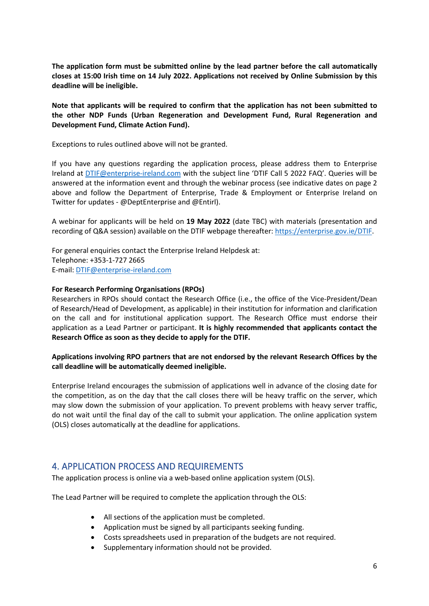**The application form must be submitted online by the lead partner before the call automatically closes at 15:00 Irish time on 14 July 2022. Applications not received by Online Submission by this deadline will be ineligible.**

**Note that applicants will be required to confirm that the application has not been submitted to the other NDP Funds (Urban Regeneration and Development Fund, Rural Regeneration and Development Fund, Climate Action Fund).**

Exceptions to rules outlined above will not be granted.

If you have any questions regarding the application process, please address them to Enterprise Ireland at [DTIF@enterprise-ireland.com](mailto:DTIF@enterprise-ireland.com) with the subject line 'DTIF Call 5 2022 FAQ'. Queries will be answered at the information event and through the webinar process (see indicative dates on page 2 above and follow the Department of Enterprise, Trade & Employment or Enterprise Ireland on Twitter for updates - @DeptEnterprise and @Entirl).

A webinar for applicants will be held on **19 May 2022** (date TBC) with materials (presentation and recording of Q&A session) available on the DTIF webpage thereafter[: https://enterprise.gov.ie/DTIF.](https://enterprise.gov.ie/DTIF)

For general enquiries contact the Enterprise Ireland Helpdesk at: Telephone: +353-1-727 2665 E-mail: [DTIF@enterprise-ireland.com](mailto:DTIF@enterprise-ireland.com)

#### **For Research Performing Organisations (RPOs)**

Researchers in RPOs should contact the Research Office (i.e., the office of the Vice-President/Dean of Research/Head of Development, as applicable) in their institution for information and clarification on the call and for institutional application support. The Research Office must endorse their application as a Lead Partner or participant. **It is highly recommended that applicants contact the Research Office as soon as they decide to apply for the DTIF.**

#### **Applications involving RPO partners that are not endorsed by the relevant Research Offices by the call deadline will be automatically deemed ineligible.**

Enterprise Ireland encourages the submission of applications well in advance of the closing date for the competition, as on the day that the call closes there will be heavy traffic on the server, which may slow down the submission of your application. To prevent problems with heavy server traffic, do not wait until the final day of the call to submit your application. The online application system (OLS) closes automatically at the deadline for applications.

## <span id="page-5-0"></span>4. APPLICATION PROCESS AND REQUIREMENTS

The application process is online via a web-based online application system (OLS).

The Lead Partner will be required to complete the application through the OLS:

- All sections of the application must be completed.
- Application must be signed by all participants seeking funding.
- Costs spreadsheets used in preparation of the budgets are not required.
- Supplementary information should not be provided.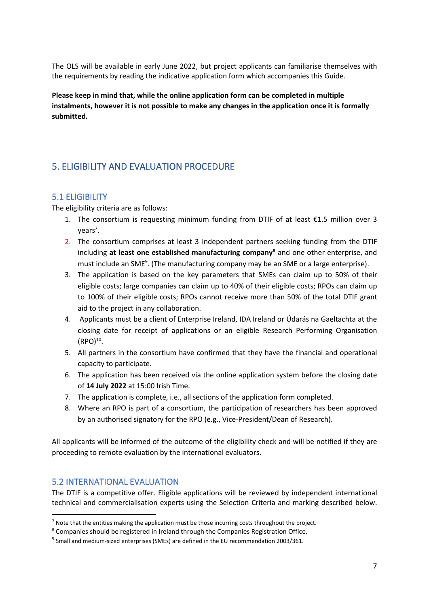The OLS will be available in early June 2022, but project applicants can familiarise themselves with the requirements by reading the indicative application form which accompanies this Guide.

**Please keep in mind that, while the online application form can be completed in multiple instalments, however it is not possible to make any changes in the application once it is formally submitted.**

## <span id="page-6-0"></span>5. ELIGIBILITY AND EVALUATION PROCEDURE

## <span id="page-6-1"></span>5.1 ELIGIBILITY

The eligibility criteria are as follows:

- 1. The consortium is requesting minimum funding from DTIF of at least  $£1.5$  million over 3 years<sup>7</sup>.
- 2. The consortium comprises at least 3 independent partners seeking funding from the DTIF including **at least one established manufacturing company<sup>8</sup>** and one other enterprise, and must include an SME<sup>9</sup>. (The manufacturing company may be an SME or a large enterprise).
- 3. The application is based on the key parameters that SMEs can claim up to 50% of their eligible costs; large companies can claim up to 40% of their eligible costs; RPOs can claim up to 100% of their eligible costs; RPOs cannot receive more than 50% of the total DTIF grant aid to the project in any collaboration.
- 4. Applicants must be a client of Enterprise Ireland, IDA Ireland or Údarás na Gaeltachta at the closing date for receipt of applications or an eligible Research Performing Organisation  $(RPO)^{10}$ .
- 5. All partners in the consortium have confirmed that they have the financial and operational capacity to participate.
- 6. The application has been received via the online application system before the closing date of **14 July 2022** at 15:00 Irish Time.
- 7. The application is complete, i.e., all sections of the application form completed.
- 8. Where an RPO is part of a consortium, the participation of researchers has been approved by an authorised signatory for the RPO (e.g., Vice-President/Dean of Research).

All applicants will be informed of the outcome of the eligibility check and will be notified if they are proceeding to remote evaluation by the international evaluators.

## <span id="page-6-2"></span>5.2 INTERNATIONAL EVALUATION

The DTIF is a competitive offer. Eligible applications will be reviewed by independent international technical and commercialisation experts using the Selection Criteria and marking described below.

 $7$  Note that the entities making the application must be those incurring costs throughout the project.

<sup>8</sup> Companies should be registered in Ireland through the Companies Registration Office.

 $^9$  Small and medium-sized enterprises (SMEs) are defined in the EU recommendation 2003/361.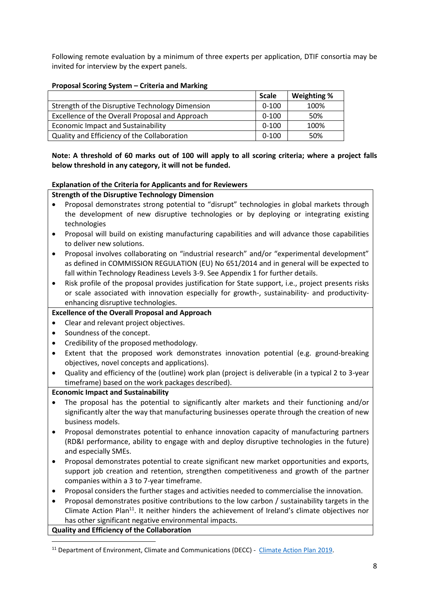Following remote evaluation by a minimum of three experts per application, DTIF consortia may be invited for interview by the expert panels.

#### **Proposal Scoring System – Criteria and Marking**

|                                                 | <b>Scale</b> | Weighting % |
|-------------------------------------------------|--------------|-------------|
| Strength of the Disruptive Technology Dimension | $0 - 100$    | 100%        |
| Excellence of the Overall Proposal and Approach | $0 - 100$    | 50%         |
| <b>Economic Impact and Sustainability</b>       | $0 - 100$    | 100%        |
| Quality and Efficiency of the Collaboration     | $0 - 100$    | 50%         |

**Note: A threshold of 60 marks out of 100 will apply to all scoring criteria; where a project falls below threshold in any category, it will not be funded.**

#### **Explanation of the Criteria for Applicants and for Reviewers**

#### **Strength of the Disruptive Technology Dimension**

- Proposal demonstrates strong potential to "disrupt" technologies in global markets through the development of new disruptive technologies or by deploying or integrating existing technologies
- Proposal will build on existing manufacturing capabilities and will advance those capabilities to deliver new solutions.
- Proposal involves collaborating on "industrial research" and/or "experimental development" as defined in COMMISSION REGULATION (EU) No 651/2014 and in general will be expected to fall within Technology Readiness Levels 3-9. See Appendix 1 for further details.
- Risk profile of the proposal provides justification for State support, i.e., project presents risks or scale associated with innovation especially for growth-, sustainability- and productivityenhancing disruptive technologies.

#### **Excellence of the Overall Proposal and Approach**

- Clear and relevant project objectives.
- Soundness of the concept.
- Credibility of the proposed methodology.
- Extent that the proposed work demonstrates innovation potential (e.g. ground-breaking objectives, novel concepts and applications).
- Quality and efficiency of the (outline) work plan (project is deliverable (in a typical 2 to 3-year timeframe) based on the work packages described).

#### **Economic Impact and Sustainability**

- The proposal has the potential to significantly alter markets and their functioning and/or significantly alter the way that manufacturing businesses operate through the creation of new business models.
- Proposal demonstrates potential to enhance innovation capacity of manufacturing partners (RD&I performance, ability to engage with and deploy disruptive technologies in the future) and especially SMEs.
- Proposal demonstrates potential to create significant new market opportunities and exports, support job creation and retention, strengthen competitiveness and growth of the partner companies within a 3 to 7-year timeframe.
- Proposal considers the further stages and activities needed to commercialise the innovation.
- Proposal demonstrates positive contributions to the low carbon / sustainability targets in the Climate Action Plan<sup>11</sup>. It neither hinders the achievement of Ireland's climate objectives nor has other significant negative environmental impacts.

**Quality and Efficiency of the Collaboration**

<sup>&</sup>lt;sup>11</sup> Department of Environment, Climate and Communications (DECC) - [Climate Action Plan](https://www.dccae.gov.ie/en-ie/climate-action/topics/climate-action-plan/Pages/climate-action.aspx) 2019.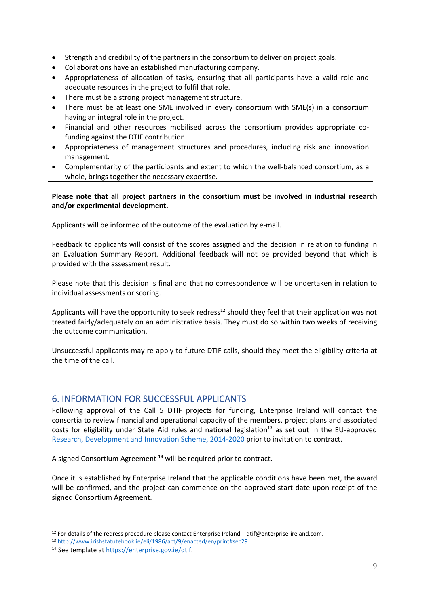- Strength and credibility of the partners in the consortium to deliver on project goals.
- Collaborations have an established manufacturing company.
- Appropriateness of allocation of tasks, ensuring that all participants have a valid role and adequate resources in the project to fulfil that role.
- There must be a strong project management structure.
- There must be at least one SME involved in every consortium with SME(s) in a consortium having an integral role in the project.
- Financial and other resources mobilised across the consortium provides appropriate cofunding against the DTIF contribution.
- Appropriateness of management structures and procedures, including risk and innovation management.
- Complementarity of the participants and extent to which the well-balanced consortium, as a whole, brings together the necessary expertise.

#### **Please note that all project partners in the consortium must be involved in industrial research and/or experimental development.**

Applicants will be informed of the outcome of the evaluation by e-mail.

Feedback to applicants will consist of the scores assigned and the decision in relation to funding in an Evaluation Summary Report. Additional feedback will not be provided beyond that which is provided with the assessment result.

Please note that this decision is final and that no correspondence will be undertaken in relation to individual assessments or scoring.

Applicants will have the opportunity to seek redress<sup>12</sup> should they feel that their application was not treated fairly/adequately on an administrative basis. They must do so within two weeks of receiving the outcome communication.

Unsuccessful applicants may re-apply to future DTIF calls, should they meet the eligibility criteria at the time of the call.

## <span id="page-8-0"></span>6. INFORMATION FOR SUCCESSFUL APPLICANTS

Following approval of the Call 5 DTIF projects for funding, Enterprise Ireland will contact the consortia to review financial and operational capacity of the members, project plans and associated costs for eligibility under State Aid rules and national legislation<sup>13</sup> as set out in the EU-approved [Research, Development and Innovation](https://dbei.gov.ie/en/Publications/Commission-Regulation-EU-No-651-Research-Development-and-Innovation-Scheme-2014-2020.html) Scheme, 2014-2020 prior to invitation to contract.

A signed Consortium Agreement<sup>14</sup> will be required prior to contract.

Once it is established by Enterprise Ireland that the applicable conditions have been met, the award will be confirmed, and the project can commence on the approved start date upon receipt of the signed Consortium Agreement.

 $12$  For details of the redress procedure please contact Enterprise Ireland – dtif@enterprise-ireland.com.

<sup>13</sup> <http://www.irishstatutebook.ie/eli/1986/act/9/enacted/en/print#sec29>

<sup>14</sup> See template at [https://enterprise.gov.ie/dtif.](https://enterprise.gov.ie/dtif)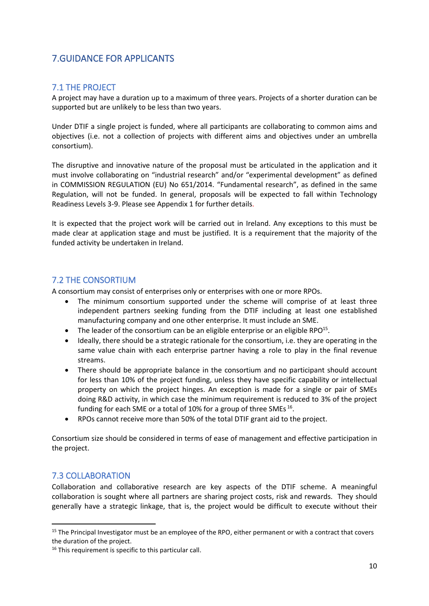## <span id="page-9-0"></span>7.GUIDANCE FOR APPLICANTS

## <span id="page-9-1"></span>7.1 THE PROJECT

A project may have a duration up to a maximum of three years. Projects of a shorter duration can be supported but are unlikely to be less than two years.

Under DTIF a single project is funded, where all participants are collaborating to common aims and objectives (i.e. not a collection of projects with different aims and objectives under an umbrella consortium).

The disruptive and innovative nature of the proposal must be articulated in the application and it must involve collaborating on "industrial research" and/or "experimental development" as defined in COMMISSION REGULATION (EU) No 651/2014. "Fundamental research", as defined in the same Regulation, will not be funded. In general, proposals will be expected to fall within Technology Readiness Levels 3-9. Please see Appendix 1 for further details.

It is expected that the project work will be carried out in Ireland. Any exceptions to this must be made clear at application stage and must be justified. It is a requirement that the majority of the funded activity be undertaken in Ireland.

#### <span id="page-9-2"></span>7.2 THE CONSORTIUM

A consortium may consist of enterprises only or enterprises with one or more RPOs.

- The minimum consortium supported under the scheme will comprise of at least three independent partners seeking funding from the DTIF including at least one established manufacturing company and one other enterprise. It must include an SME.
- $\bullet$  The leader of the consortium can be an eligible enterprise or an eligible RPO<sup>15</sup>.
- Ideally, there should be a strategic rationale for the consortium, i.e. they are operating in the same value chain with each enterprise partner having a role to play in the final revenue streams.
- There should be appropriate balance in the consortium and no participant should account for less than 10% of the project funding, unless they have specific capability or intellectual property on which the project hinges. An exception is made for a single or pair of SMEs doing R&D activity, in which case the minimum requirement is reduced to 3% of the project funding for each SME or a total of 10% for a group of three SMEs  $^{16}$ .
- RPOs cannot receive more than 50% of the total DTIF grant aid to the project.

Consortium size should be considered in terms of ease of management and effective participation in the project.

## <span id="page-9-3"></span>7.3 COLLABORATION

Collaboration and collaborative research are key aspects of the DTIF scheme. A meaningful collaboration is sought where all partners are sharing project costs, risk and rewards. They should generally have a strategic linkage, that is, the project would be difficult to execute without their

<sup>&</sup>lt;sup>15</sup> The Principal Investigator must be an employee of the RPO, either permanent or with a contract that covers the duration of the project.

<sup>&</sup>lt;sup>16</sup> This requirement is specific to this particular call.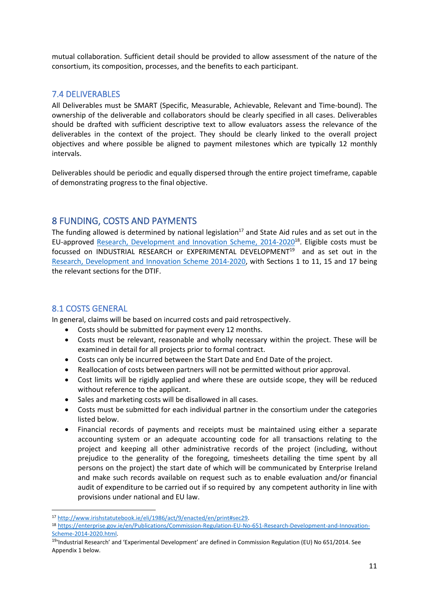mutual collaboration. Sufficient detail should be provided to allow assessment of the nature of the consortium, its composition, processes, and the benefits to each participant.

### <span id="page-10-0"></span>7.4 DELIVERABLES

All Deliverables must be SMART (Specific, Measurable, Achievable, Relevant and Time-bound). The ownership of the deliverable and collaborators should be clearly specified in all cases. Deliverables should be drafted with sufficient descriptive text to allow evaluators assess the relevance of the deliverables in the context of the project. They should be clearly linked to the overall project objectives and where possible be aligned to payment milestones which are typically 12 monthly intervals.

Deliverables should be periodic and equally dispersed through the entire project timeframe, capable of demonstrating progress to the final objective.

## <span id="page-10-1"></span>8 FUNDING, COSTS AND PAYMENTS

The funding allowed is determined by national legislation<sup>17</sup> and State Aid rules and as set out in the EU-approved [Research, Development and Innovation Scheme, 2014-2020](https://dbei.gov.ie/en/Publications/Commission-Regulation-EU-No-651-Research-Development-and-Innovation-Scheme-2014-2020.html)<sup>18</sup>. Eligible costs must be focussed on INDUSTRIAL RESEARCH or EXPERIMENTAL DEVELOPMENT<sup>19</sup> and as set out in the [Research, Development and Innovation Scheme 2014-2020,](https://dbei.gov.ie/en/Publications/Commission-Regulation-EU-No-651-Research-Development-and-Innovation-Scheme-2014-2020.html) with Sections 1 to 11, 15 and 17 being the relevant sections for the DTIF.

## <span id="page-10-2"></span>8.1 COSTS GENERAL

In general, claims will be based on incurred costs and paid retrospectively.

- Costs should be submitted for payment every 12 months.
- Costs must be relevant, reasonable and wholly necessary within the project. These will be examined in detail for all projects prior to formal contract.
- Costs can only be incurred between the Start Date and End Date of the project.
- Reallocation of costs between partners will not be permitted without prior approval.
- Cost limits will be rigidly applied and where these are outside scope, they will be reduced without reference to the applicant.
- Sales and marketing costs will be disallowed in all cases.
- Costs must be submitted for each individual partner in the consortium under the categories listed below.
- Financial records of payments and receipts must be maintained using either a separate accounting system or an adequate accounting code for all transactions relating to the project and keeping all other administrative records of the project (including, without prejudice to the generality of the foregoing, timesheets detailing the time spent by all persons on the project) the start date of which will be communicated by Enterprise Ireland and make such records available on request such as to enable evaluation and/or financial audit of expenditure to be carried out if so required by any competent authority in line with provisions under national and EU law.

<sup>17</sup> [http://www.irishstatutebook.ie/eli/1986/act/9/enacted/en/print#sec29.](http://www.irishstatutebook.ie/eli/1986/act/9/enacted/en/print#sec29)

<sup>18</sup> [https://enterprise.gov.ie/en/Publications/Commission-Regulation-EU-No-651-Research-Development-and-Innovation-](https://enterprise.gov.ie/en/Publications/Commission-Regulation-EU-No-651-Research-Development-and-Innovation-Scheme-2014-2020.html)[Scheme-2014-2020.html.](https://enterprise.gov.ie/en/Publications/Commission-Regulation-EU-No-651-Research-Development-and-Innovation-Scheme-2014-2020.html)

<sup>&</sup>lt;sup>19</sup>'Industrial Research' and 'Experimental Development' are defined in Commission Regulation (EU) No 651/2014. See Appendix 1 below*.*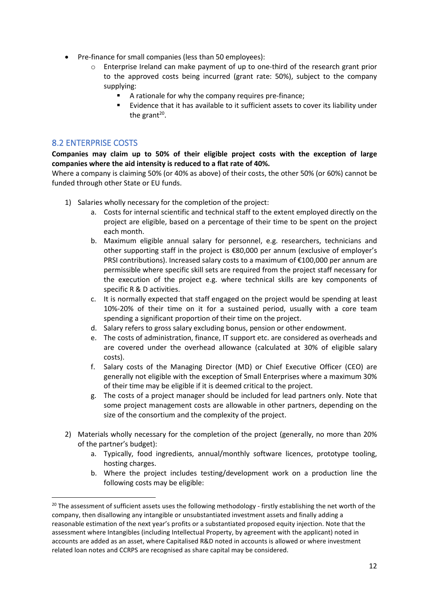- Pre-finance for small companies (less than 50 employees):
	- o Enterprise Ireland can make payment of up to one-third of the research grant prior to the approved costs being incurred (grant rate: 50%), subject to the company supplying:
		- A rationale for why the company requires pre-finance;
		- Evidence that it has available to it sufficient assets to cover its liability under the grant<sup>20</sup>.

### <span id="page-11-0"></span>8.2 ENTERPRISE COSTS

**Companies may claim up to 50% of their eligible project costs with the exception of large companies where the aid intensity is reduced to a flat rate of 40%.**

Where a company is claiming 50% (or 40% as above) of their costs, the other 50% (or 60%) cannot be funded through other State or EU funds.

- 1) Salaries wholly necessary for the completion of the project:
	- a. Costs for internal scientific and technical staff to the extent employed directly on the project are eligible, based on a percentage of their time to be spent on the project each month.
	- b. Maximum eligible annual salary for personnel, e.g. researchers, technicians and other supporting staff in the project is €80,000 per annum (exclusive of employer's PRSI contributions). Increased salary costs to a maximum of €100,000 per annum are permissible where specific skill sets are required from the project staff necessary for the execution of the project e.g. where technical skills are key components of specific R & D activities.
	- c. It is normally expected that staff engaged on the project would be spending at least 10%-20% of their time on it for a sustained period, usually with a core team spending a significant proportion of their time on the project.
	- d. Salary refers to gross salary excluding bonus, pension or other endowment.
	- e. The costs of administration, finance, IT support etc. are considered as overheads and are covered under the overhead allowance (calculated at 30% of eligible salary costs).
	- f. Salary costs of the Managing Director (MD) or Chief Executive Officer (CEO) are generally not eligible with the exception of Small Enterprises where a maximum 30% of their time may be eligible if it is deemed critical to the project.
	- g. The costs of a project manager should be included for lead partners only. Note that some project management costs are allowable in other partners, depending on the size of the consortium and the complexity of the project.
- 2) Materials wholly necessary for the completion of the project (generally, no more than 20% of the partner's budget):
	- a. Typically, food ingredients, annual/monthly software licences, prototype tooling, hosting charges.
	- b. Where the project includes testing/development work on a production line the following costs may be eligible:

<sup>&</sup>lt;sup>20</sup> The assessment of sufficient assets uses the following methodology - firstly establishing the net worth of the company, then disallowing any intangible or unsubstantiated investment assets and finally adding a reasonable estimation of the next year's profits or a substantiated proposed equity injection. Note that the assessment where Intangibles (including Intellectual Property, by agreement with the applicant) noted in accounts are added as an asset, where Capitalised R&D noted in accounts is allowed or where investment related loan notes and CCRPS are recognised as share capital may be considered.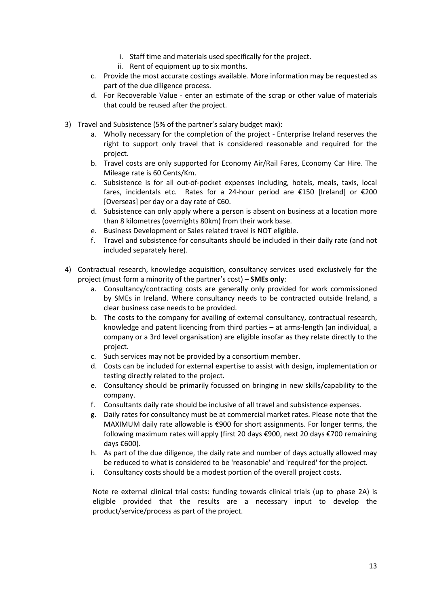- i. Staff time and materials used specifically for the project.
- ii. Rent of equipment up to six months.
- c. Provide the most accurate costings available. More information may be requested as part of the due diligence process.
- d. For Recoverable Value enter an estimate of the scrap or other value of materials that could be reused after the project.
- 3) Travel and Subsistence (5% of the partner's salary budget max):
	- a. Wholly necessary for the completion of the project Enterprise Ireland reserves the right to support only travel that is considered reasonable and required for the project.
	- b. Travel costs are only supported for Economy Air/Rail Fares, Economy Car Hire. The Mileage rate is 60 Cents/Km.
	- c. Subsistence is for all out-of-pocket expenses including, hotels, meals, taxis, local fares, incidentals etc. Rates for a 24-hour period are €150 [Ireland] or €200 [Overseas] per day or a day rate of  $€60$ .
	- d. Subsistence can only apply where a person is absent on business at a location more than 8 kilometres (overnights 80km) from their work base.
	- e. Business Development or Sales related travel is NOT eligible.
	- f. Travel and subsistence for consultants should be included in their daily rate (and not included separately here).
- 4) Contractual research, knowledge acquisition, consultancy services used exclusively for the project (must form a minority of the partner's cost) **– SMEs only**:
	- a. Consultancy/contracting costs are generally only provided for work commissioned by SMEs in Ireland. Where consultancy needs to be contracted outside Ireland, a clear business case needs to be provided.
	- b. The costs to the company for availing of external consultancy, contractual research, knowledge and patent licencing from third parties – at arms-length (an individual, a company or a 3rd level organisation) are eligible insofar as they relate directly to the project.
	- c. Such services may not be provided by a consortium member.
	- d. Costs can be included for external expertise to assist with design, implementation or testing directly related to the project.
	- e. Consultancy should be primarily focussed on bringing in new skills/capability to the company.
	- f. Consultants daily rate should be inclusive of all travel and subsistence expenses.
	- g. Daily rates for consultancy must be at commercial market rates. Please note that the MAXIMUM daily rate allowable is €900 for short assignments. For longer terms, the following maximum rates will apply (first 20 days €900, next 20 days €700 remaining days €600).
	- h. As part of the due diligence, the daily rate and number of days actually allowed may be reduced to what is considered to be 'reasonable' and 'required' for the project.
	- i. Consultancy costs should be a modest portion of the overall project costs.

Note re external clinical trial costs: funding towards clinical trials (up to phase 2A) is eligible provided that the results are a necessary input to develop the product/service/process as part of the project.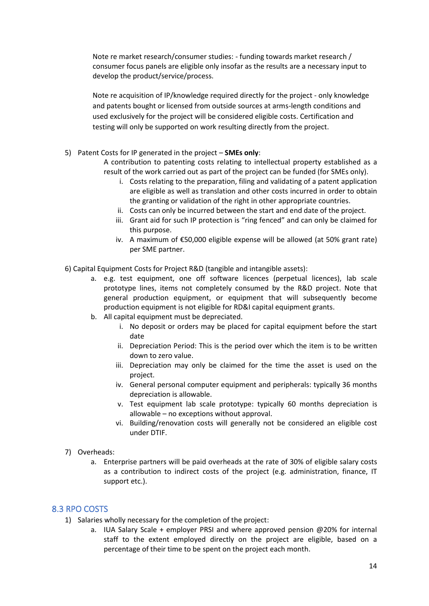Note re market research/consumer studies: - funding towards market research / consumer focus panels are eligible only insofar as the results are a necessary input to develop the product/service/process.

Note re acquisition of IP/knowledge required directly for the project - only knowledge and patents bought or licensed from outside sources at arms-length conditions and used exclusively for the project will be considered eligible costs. Certification and testing will only be supported on work resulting directly from the project.

#### 5) Patent Costs for IP generated in the project – **SMEs only**:

A contribution to patenting costs relating to intellectual property established as a result of the work carried out as part of the project can be funded (for SMEs only).

- i. Costs relating to the preparation, filing and validating of a patent application are eligible as well as translation and other costs incurred in order to obtain the granting or validation of the right in other appropriate countries.
- ii. Costs can only be incurred between the start and end date of the project.
- iii. Grant aid for such IP protection is "ring fenced" and can only be claimed for this purpose.
- iv. A maximum of €50,000 eligible expense will be allowed (at 50% grant rate) per SME partner.
- 6) Capital Equipment Costs for Project R&D (tangible and intangible assets):
	- a. e.g. test equipment, one off software licences (perpetual licences), lab scale prototype lines, items not completely consumed by the R&D project. Note that general production equipment, or equipment that will subsequently become production equipment is not eligible for RD&I capital equipment grants.
	- b. All capital equipment must be depreciated.
		- i. No deposit or orders may be placed for capital equipment before the start date
		- ii. Depreciation Period: This is the period over which the item is to be written down to zero value.
		- iii. Depreciation may only be claimed for the time the asset is used on the project.
		- iv. General personal computer equipment and peripherals: typically 36 months depreciation is allowable.
		- v. Test equipment lab scale prototype: typically 60 months depreciation is allowable – no exceptions without approval.
		- vi. Building/renovation costs will generally not be considered an eligible cost under DTIF.

#### 7) Overheads:

a. Enterprise partners will be paid overheads at the rate of 30% of eligible salary costs as a contribution to indirect costs of the project (e.g. administration, finance, IT support etc.).

## <span id="page-13-0"></span>8.3 RPO COSTS

- 1) Salaries wholly necessary for the completion of the project:
	- a. IUA Salary Scale + employer PRSI and where approved pension @20% for internal staff to the extent employed directly on the project are eligible, based on a percentage of their time to be spent on the project each month.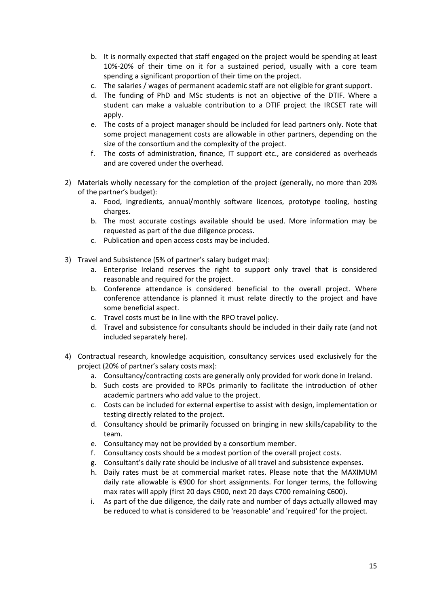- b. It is normally expected that staff engaged on the project would be spending at least 10%-20% of their time on it for a sustained period, usually with a core team spending a significant proportion of their time on the project.
- c. The salaries / wages of permanent academic staff are not eligible for grant support.
- d. The funding of PhD and MSc students is not an objective of the DTIF. Where a student can make a valuable contribution to a DTIF project the IRCSET rate will apply.
- e. The costs of a project manager should be included for lead partners only. Note that some project management costs are allowable in other partners, depending on the size of the consortium and the complexity of the project.
- f. The costs of administration, finance, IT support etc., are considered as overheads and are covered under the overhead.
- 2) Materials wholly necessary for the completion of the project (generally, no more than 20% of the partner's budget):
	- a. Food, ingredients, annual/monthly software licences, prototype tooling, hosting charges.
	- b. The most accurate costings available should be used. More information may be requested as part of the due diligence process.
	- c. Publication and open access costs may be included.
- 3) Travel and Subsistence (5% of partner's salary budget max):
	- a. Enterprise Ireland reserves the right to support only travel that is considered reasonable and required for the project.
	- b. Conference attendance is considered beneficial to the overall project. Where conference attendance is planned it must relate directly to the project and have some beneficial aspect.
	- c. Travel costs must be in line with the RPO travel policy.
	- d. Travel and subsistence for consultants should be included in their daily rate (and not included separately here).
- 4) Contractual research, knowledge acquisition, consultancy services used exclusively for the project (20% of partner's salary costs max):
	- a. Consultancy/contracting costs are generally only provided for work done in Ireland.
	- b. Such costs are provided to RPOs primarily to facilitate the introduction of other academic partners who add value to the project.
	- c. Costs can be included for external expertise to assist with design, implementation or testing directly related to the project.
	- d. Consultancy should be primarily focussed on bringing in new skills/capability to the team.
	- e. Consultancy may not be provided by a consortium member.
	- f. Consultancy costs should be a modest portion of the overall project costs.
	- g. Consultant's daily rate should be inclusive of all travel and subsistence expenses.
	- h. Daily rates must be at commercial market rates. Please note that the MAXIMUM daily rate allowable is €900 for short assignments. For longer terms, the following max rates will apply (first 20 days €900, next 20 days €700 remaining €600).
	- i. As part of the due diligence, the daily rate and number of days actually allowed may be reduced to what is considered to be 'reasonable' and 'required' for the project.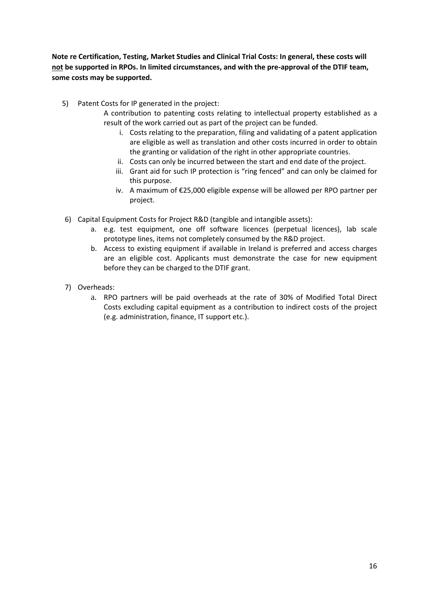**Note re Certification, Testing, Market Studies and Clinical Trial Costs: In general, these costs will not be supported in RPOs. In limited circumstances, and with the pre-approval of the DTIF team, some costs may be supported.**

- 5) Patent Costs for IP generated in the project:
	- A contribution to patenting costs relating to intellectual property established as a result of the work carried out as part of the project can be funded.
		- i. Costs relating to the preparation, filing and validating of a patent application are eligible as well as translation and other costs incurred in order to obtain the granting or validation of the right in other appropriate countries.
		- ii. Costs can only be incurred between the start and end date of the project.
		- iii. Grant aid for such IP protection is "ring fenced" and can only be claimed for this purpose.
		- iv. A maximum of €25,000 eligible expense will be allowed per RPO partner per project.
- 6) Capital Equipment Costs for Project R&D (tangible and intangible assets):
	- a. e.g. test equipment, one off software licences (perpetual licences), lab scale prototype lines, items not completely consumed by the R&D project.
	- b. Access to existing equipment if available in Ireland is preferred and access charges are an eligible cost. Applicants must demonstrate the case for new equipment before they can be charged to the DTIF grant.
- 7) Overheads:
	- a. RPO partners will be paid overheads at the rate of 30% of Modified Total Direct Costs excluding capital equipment as a contribution to indirect costs of the project (e.g. administration, finance, IT support etc.).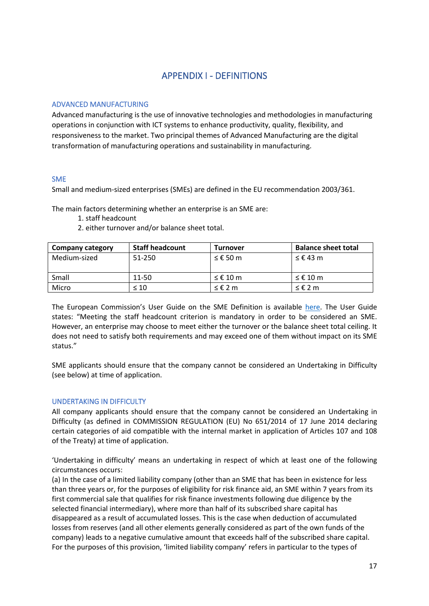## APPENDIX I - DEFINITIONS

#### <span id="page-16-0"></span>ADVANCED MANUFACTURING

Advanced manufacturing is the use of innovative technologies and methodologies in manufacturing operations in conjunction with ICT systems to enhance productivity, quality, flexibility, and responsiveness to the market. Two principal themes of Advanced Manufacturing are the digital transformation of manufacturing operations and sustainability in manufacturing.

#### SME

Small and medium-sized enterprises (SMEs) are defined in the EU recommendation 2003/361.

The main factors determining whether an enterprise is an SME are:

- 1. staff headcount
- 2. either turnover and/or balance sheet total.

| <b>Company category</b> | <b>Staff headcount</b> | Turnover   | <b>Balance sheet total</b> |
|-------------------------|------------------------|------------|----------------------------|
| Medium-sized            | 51-250                 | $≤$ € 50 m | ≤ € 43 m                   |
| Small                   | 11-50                  | $≤$ € 10 m | $≤$ € 10 m                 |
| Micro                   | $\leq 10$              | $≤$ € 2 m  | ≤£2m                       |

The European Commission's User Guide on the SME Definition is available [here.](https://eur-lex.europa.eu/legal-content/EN/TXT/?uri=CELEX:02014R0651-20170710) The User Guide states: "Meeting the staff headcount criterion is mandatory in order to be considered an SME. However, an enterprise may choose to meet either the turnover or the balance sheet total ceiling. It does not need to satisfy both requirements and may exceed one of them without impact on its SME status."

SME applicants should ensure that the company cannot be considered an Undertaking in Difficulty (see below) at time of application.

#### UNDERTAKING IN DIFFICULTY

All company applicants should ensure that the company cannot be considered an Undertaking in Difficulty (as defined in COMMISSION REGULATION (EU) No 651/2014 of 17 June 2014 declaring certain categories of aid compatible with the internal market in application of Articles 107 and 108 of the Treaty) at time of application.

'Undertaking in difficulty' means an undertaking in respect of which at least one of the following circumstances occurs:

(a) In the case of a limited liability company (other than an SME that has been in existence for less than three years or, for the purposes of eligibility for risk finance aid, an SME within 7 years from its first commercial sale that qualifies for risk finance investments following due diligence by the selected financial intermediary), where more than half of its subscribed share capital has disappeared as a result of accumulated losses. This is the case when deduction of accumulated losses from reserves (and all other elements generally considered as part of the own funds of the company) leads to a negative cumulative amount that exceeds half of the subscribed share capital. For the purposes of this provision, 'limited liability company' refers in particular to the types of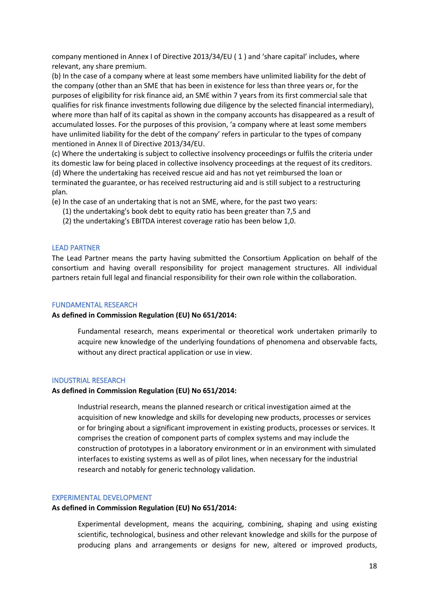company mentioned in Annex I of Directive 2013/34/EU ( 1 ) and 'share capital' includes, where relevant, any share premium.

(b) In the case of a company where at least some members have unlimited liability for the debt of the company (other than an SME that has been in existence for less than three years or, for the purposes of eligibility for risk finance aid, an SME within 7 years from its first commercial sale that qualifies for risk finance investments following due diligence by the selected financial intermediary), where more than half of its capital as shown in the company accounts has disappeared as a result of accumulated losses. For the purposes of this provision, 'a company where at least some members have unlimited liability for the debt of the company' refers in particular to the types of company mentioned in Annex II of Directive 2013/34/EU.

(c) Where the undertaking is subject to collective insolvency proceedings or fulfils the criteria under its domestic law for being placed in collective insolvency proceedings at the request of its creditors. (d) Where the undertaking has received rescue aid and has not yet reimbursed the loan or terminated the guarantee, or has received restructuring aid and is still subject to a restructuring plan.

(e) In the case of an undertaking that is not an SME, where, for the past two years:

- (1) the undertaking's book debt to equity ratio has been greater than 7,5 and
- (2) the undertaking's EBITDA interest coverage ratio has been below 1,0.

#### LEAD PARTNER

The Lead Partner means the party having submitted the Consortium Application on behalf of the consortium and having overall responsibility for project management structures. All individual partners retain full legal and financial responsibility for their own role within the collaboration.

#### FUNDAMENTAL RESEARCH

#### **As defined in Commission Regulation (EU) No 651/2014:**

Fundamental research, means experimental or theoretical work undertaken primarily to acquire new knowledge of the underlying foundations of phenomena and observable facts, without any direct practical application or use in view.

#### INDUSTRIAL RESEARCH

#### **As defined in Commission Regulation (EU) No 651/2014:**

Industrial research, means the planned research or critical investigation aimed at the acquisition of new knowledge and skills for developing new products, processes or services or for bringing about a significant improvement in existing products, processes or services. It comprises the creation of component parts of complex systems and may include the construction of prototypes in a laboratory environment or in an environment with simulated interfaces to existing systems as well as of pilot lines, when necessary for the industrial research and notably for generic technology validation.

#### EXPERIMENTAL DEVELOPMENT

#### **As defined in Commission Regulation (EU) No 651/2014:**

Experimental development, means the acquiring, combining, shaping and using existing scientific, technological, business and other relevant knowledge and skills for the purpose of producing plans and arrangements or designs for new, altered or improved products,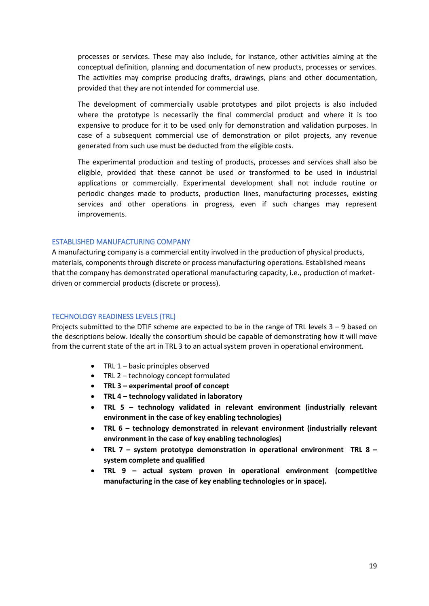processes or services. These may also include, for instance, other activities aiming at the conceptual definition, planning and documentation of new products, processes or services. The activities may comprise producing drafts, drawings, plans and other documentation, provided that they are not intended for commercial use.

The development of commercially usable prototypes and pilot projects is also included where the prototype is necessarily the final commercial product and where it is too expensive to produce for it to be used only for demonstration and validation purposes. In case of a subsequent commercial use of demonstration or pilot projects, any revenue generated from such use must be deducted from the eligible costs.

The experimental production and testing of products, processes and services shall also be eligible, provided that these cannot be used or transformed to be used in industrial applications or commercially. Experimental development shall not include routine or periodic changes made to products, production lines, manufacturing processes, existing services and other operations in progress, even if such changes may represent improvements.

#### ESTABLISHED MANUFACTURING COMPANY

A manufacturing company is a commercial entity involved in the production of physical products, materials, components through discrete or process manufacturing operations. Established means that the company has demonstrated operational manufacturing capacity, i.e., production of marketdriven or commercial products (discrete or process).

#### TECHNOLOGY READINESS LEVELS (TRL)

Projects submitted to the DTIF scheme are expected to be in the range of TRL levels 3 – 9 based on the descriptions below. Ideally the consortium should be capable of demonstrating how it will move from the current state of the art in TRL 3 to an actual system proven in operational environment.

- TRL 1 basic principles observed
- TRL 2 technology concept formulated
- **TRL 3 – experimental proof of concept**
- **TRL 4 – technology validated in laboratory**
- **TRL 5 – technology validated in relevant environment (industrially relevant environment in the case of key enabling technologies)**
- **TRL 6 – technology demonstrated in relevant environment (industrially relevant environment in the case of key enabling technologies)**
- **TRL 7 – system prototype demonstration in operational environment TRL 8 – system complete and qualified**
- **TRL 9 – actual system proven in operational environment (competitive manufacturing in the case of key enabling technologies or in space).**